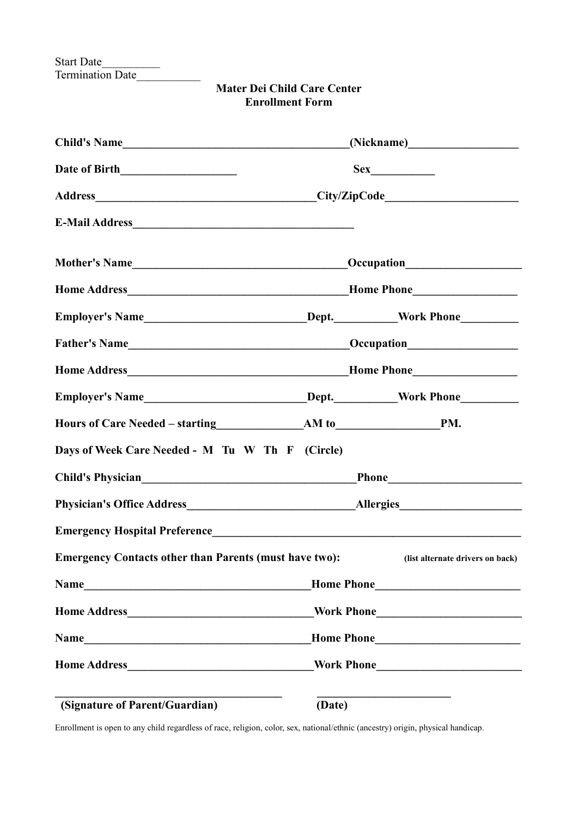Start Date\_\_\_\_\_\_\_\_\_\_ Termination Date

| <b>Mater Dei Child Care Center</b> |
|------------------------------------|
| <b>Enrollment Form</b>             |

| Child's Name                                                                     |        |                                  |  |
|----------------------------------------------------------------------------------|--------|----------------------------------|--|
|                                                                                  |        |                                  |  |
|                                                                                  |        |                                  |  |
|                                                                                  |        |                                  |  |
| Mother's Name                                                                    |        | Occupation<br><u>Decupation</u>  |  |
|                                                                                  |        |                                  |  |
| Employer's Name______________________________Dept.___________Work Phone_________ |        |                                  |  |
|                                                                                  |        |                                  |  |
|                                                                                  |        |                                  |  |
| Employer's Name______________________________Dept.___________Work Phone_________ |        |                                  |  |
|                                                                                  |        |                                  |  |
| Days of Week Care Needed - M Tu W Th F (Circle)                                  |        |                                  |  |
|                                                                                  |        |                                  |  |
|                                                                                  |        |                                  |  |
|                                                                                  |        |                                  |  |
| <b>Emergency Contacts other than Parents (must have two):</b>                    |        | (list alternate drivers on back) |  |
|                                                                                  |        |                                  |  |
|                                                                                  |        |                                  |  |
|                                                                                  |        |                                  |  |
|                                                                                  |        |                                  |  |
| (Signature of Parent/Guardian)                                                   | (Date) |                                  |  |

Enrollment is open to any child regardless of race, religion, color, sex, national/ethnic (ancestry) origin, physical handicap.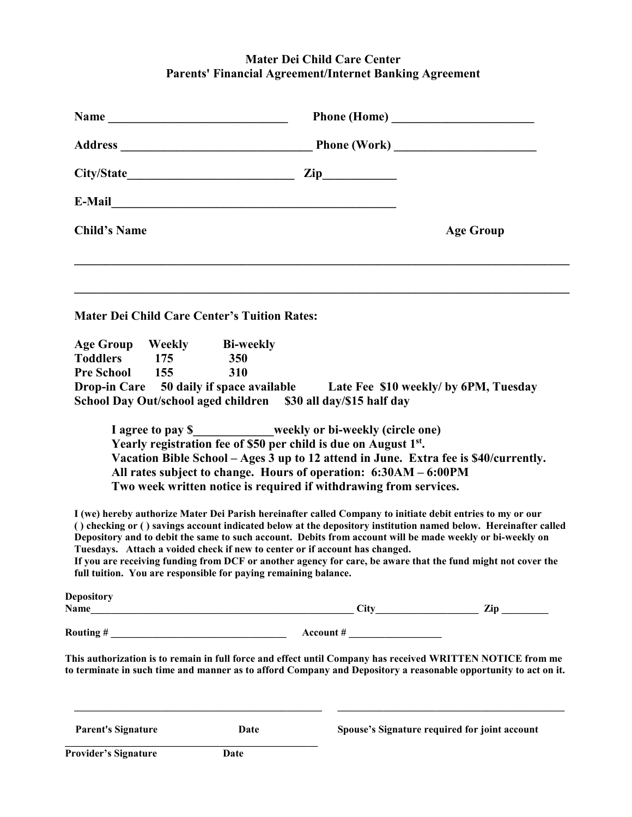## **Mater Dei Child Care Center Parents' Financial Agreement/Internet Banking Agreement**

|                                                                                                                                                                                                                                                              |      |                                                                                                                                                                                                                                                                         | Phone (Home)                                                                                                                                                                                                                                                                                                                                                                                                                         |
|--------------------------------------------------------------------------------------------------------------------------------------------------------------------------------------------------------------------------------------------------------------|------|-------------------------------------------------------------------------------------------------------------------------------------------------------------------------------------------------------------------------------------------------------------------------|--------------------------------------------------------------------------------------------------------------------------------------------------------------------------------------------------------------------------------------------------------------------------------------------------------------------------------------------------------------------------------------------------------------------------------------|
|                                                                                                                                                                                                                                                              |      |                                                                                                                                                                                                                                                                         |                                                                                                                                                                                                                                                                                                                                                                                                                                      |
|                                                                                                                                                                                                                                                              |      |                                                                                                                                                                                                                                                                         |                                                                                                                                                                                                                                                                                                                                                                                                                                      |
|                                                                                                                                                                                                                                                              |      |                                                                                                                                                                                                                                                                         |                                                                                                                                                                                                                                                                                                                                                                                                                                      |
| <b>Child's Name</b>                                                                                                                                                                                                                                          |      |                                                                                                                                                                                                                                                                         | <b>Age Group</b>                                                                                                                                                                                                                                                                                                                                                                                                                     |
| <b>Mater Dei Child Care Center's Tuition Rates:</b><br>Age Group Weekly Bi-weekly                                                                                                                                                                            |      |                                                                                                                                                                                                                                                                         |                                                                                                                                                                                                                                                                                                                                                                                                                                      |
| Toddlers 175                                                                                                                                                                                                                                                 | 350  |                                                                                                                                                                                                                                                                         |                                                                                                                                                                                                                                                                                                                                                                                                                                      |
| Pre School 155<br>Drop-in Care 50 daily if space available Late Fee \$10 weekly/ by 6PM, Tuesday                                                                                                                                                             | 310  |                                                                                                                                                                                                                                                                         |                                                                                                                                                                                                                                                                                                                                                                                                                                      |
| School Day Out/school aged children \$30 all day/\$15 half day                                                                                                                                                                                               |      |                                                                                                                                                                                                                                                                         |                                                                                                                                                                                                                                                                                                                                                                                                                                      |
| I (we) hereby authorize Mater Dei Parish hereinafter called Company to initiate debit entries to my or our<br>Tuesdays. Attach a voided check if new to center or if account has changed.<br>full tuition. You are responsible for paying remaining balance. |      | I agree to pay \$__________weekly or bi-weekly (circle one)<br>Yearly registration fee of \$50 per child is due on August 1st.<br>All rates subject to change. Hours of operation: 6:30AM – 6:00PM<br>Two week written notice is required if withdrawing from services. | Vacation Bible School - Ages 3 up to 12 attend in June. Extra fee is \$40/currently.<br>() checking or () savings account indicated below at the depository institution named below. Hereinafter called<br>Depository and to debit the same to such account. Debits from account will be made weekly or bi-weekly on<br>If you are receiving funding from DCF or another agency for care, be aware that the fund might not cover the |
| <b>Depository</b>                                                                                                                                                                                                                                            |      |                                                                                                                                                                                                                                                                         |                                                                                                                                                                                                                                                                                                                                                                                                                                      |
| Routing $\#\underline{\hspace{2cm}}$ $\qquad \qquad$ Account $\#\underline{\hspace{2cm}}$                                                                                                                                                                    |      |                                                                                                                                                                                                                                                                         |                                                                                                                                                                                                                                                                                                                                                                                                                                      |
|                                                                                                                                                                                                                                                              |      |                                                                                                                                                                                                                                                                         | This authorization is to remain in full force and effect until Company has received WRITTEN NOTICE from me<br>to terminate in such time and manner as to afford Company and Depository a reasonable opportunity to act on it.                                                                                                                                                                                                        |
|                                                                                                                                                                                                                                                              |      |                                                                                                                                                                                                                                                                         |                                                                                                                                                                                                                                                                                                                                                                                                                                      |
| <b>Parent's Signature</b><br>Provider's Signature                                                                                                                                                                                                            | Date |                                                                                                                                                                                                                                                                         | Spouse's Signature required for joint account                                                                                                                                                                                                                                                                                                                                                                                        |